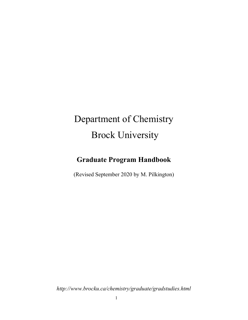# Department of Chemistry Brock University

## Graduate Program Handbook

(Revised September 2020 by M. Pilkington)

http://www.brocku.ca/chemistry/graduate/gradstudies.html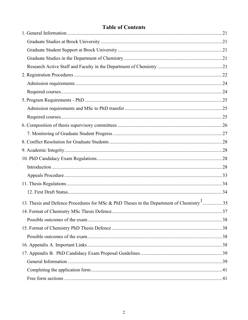## **Table of Contents**

| 13. Thesis and Defence Procedures for MSc & PhD Theses in the Department of Chemistry <sup>1</sup> 35 |  |
|-------------------------------------------------------------------------------------------------------|--|
|                                                                                                       |  |
|                                                                                                       |  |
|                                                                                                       |  |
|                                                                                                       |  |
|                                                                                                       |  |
|                                                                                                       |  |
|                                                                                                       |  |
|                                                                                                       |  |
|                                                                                                       |  |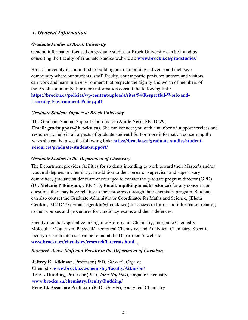## 1. General Information

#### Graduate Studies at Brock University

General information focused on graduate studies at Brock University can be found by consulting the Faculty of Graduate Studies website at: **www.brocku.ca/gradstudies/** 

Brock University is committed to building and maintaining a diverse and inclusive community where our students, staff, faculty, course participants, volunteers and visitors can work and learn in an environment that respects the dignity and worth of members of the Brock community. For more information consult the following link: https://brocku.ca/policies/wp-content/uploads/sites/94/Respectful-Work-and-Learning-Environment-Policy.pdf

#### Graduate Student Support at Brock University

The Graduate Student Support Coordinator (Andie Nero, MC D529; Email: gradsupport@brocku.ca). She can connect you with a number of support services and resources to help in all aspects of graduate student life. For more information concerning the ways she can help see the following link: https://brocku.ca/graduate-studies/studentresources/graduate-student-support/

#### Graduate Studies in the Department of Chemistry

The Department provides facilities for students intending to work toward their Master's and/or Doctoral degrees in Chemistry. In addition to their research supervisor and supervisory committee, graduate students are encouraged to contact the graduate program director (GPD) (Dr. Melanie Pilkington, CRN 410; Email: mpilkington@brocku.ca) for any concerns or questions they may have relating to their progress through their chemistry program. Students can also contact the Graduate Administrator Coordinator for Maths and Science, (Elena Genkin, MC D473; Email: egenkin@brocku.ca) for access to forms and information relating to their courses and procedures for candidacy exams and thesis defences.

Faculty members specialize in Organic/Bio-organic Chemistry, Inorganic Chemistry, Molecular Magnetism, Physical/Theoretical Chemistry, and Analytical Chemistry. Specific faculty research interests can be found at the Department's website www.brocku.ca/chemistry/research/interests.html: .

#### Research Active Staff and Faculty in the Department of Chemistry

Jeffrey K. Atkinson, Professor (PhD, Ottawa), Organic Chemistry www.brocku.ca/chemistry/faculty/Atkinson/ Travis Dudding, Professor (PhD, John Hopkins), Organic Chemistry www.brocku.ca/chemistry/faculty/Dudding/ Feng Li, Associate Professor (PhD, Alberta), Analytical Chemistry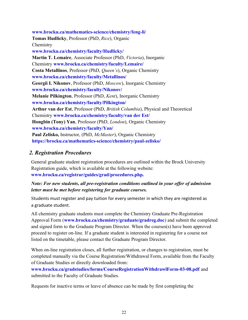www.brocku.ca/mathematics-science/chemistry/feng-li/ Tomas Hudlicky, Professor (PhD, Rice), Organic Chemistry www.brocku.ca/chemistry/faculty/Hudlicky/ Martin T. Lemaire, Associate Professor (PhD, Victoria), Inorganic Chemistry www.brocku.ca/chemistry/faculty/Lemaire/ Costa Metallinos, Professor (PhD, Queen's), Organic Chemistry www.brocku.ca/chemistry/faculty/Metallinos/ Georgii I. Nikonov, Professor (PhD, Moscow), Inorganic Chemistry www.brocku.ca/chemistry/faculty/Nikonov/ Melanie Pilkington, Professor (PhD, Kent), Inorganic Chemistry www.brocku.ca/chemistry/faculty/Pilkington/ Arthur van der Est, Professor (PhD, British Columbia), Physical and Theoretical Chemistry www.brocku.ca/chemistry/faculty/van der Est/ Hongbin (Tony) Yan, Professor (PhD, London), Organic Chemistry www.brocku.ca/chemistry/faculty/Yan/ Paul Zelisko, Instructor, (PhD, *McMaster*), Organic Chemistry https://brocku.ca/mathematics-science/chemistry/paul-zelisko/

#### 2. Registration Procedures

General graduate student registration procedures are outlined within the Brock University Registration guide, which is available at the following website: www.brocku.ca/registrar/guides/grad/procedures.php.

Note: For new students, all pre-registration conditions outlined in your offer of admission letter must be met before registering for graduate courses.

Students must register and pay tuition for every semester in which they are registered as a graduate student.

All chemistry graduate students must complete the Chemistry Graduate Pre-Registration Approval Form (www.brocku.ca/chemistry/graduate/gradreg.doc) and submit the completed and signed form to the Graduate Program Director. When the courses(s) have been approved proceed to register on-line. If a graduate student is interested in registering for a course not listed on the timetable, please contact the Graduate Program Director.

When on-line registration closes, all further registration, or changes to registration, must be completed manually via the Course Registration/Withdrawal Form, available from the Faculty of Graduate Studies or directly downloaded from:

www.brocku.ca/gradstudies/forms/CourseRegistrationWithdrawlForm-03-08.pdf and submitted to the Faculty of Graduate Studies.

Requests for inactive terms or leave of absence can be made by first completing the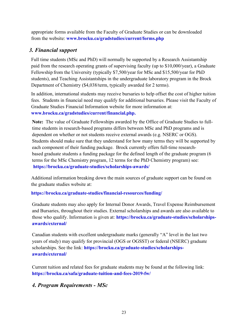appropriate forms available from the Faculty of Graduate Studies or can be downloaded from the website: www.brocku.ca/gradstudies/current/forms.php

## 3. Financial support

Full time students (MSc and PhD) will normally be supported by a Research Assistantship paid from the research operating grants of supervising faculty (up to \$10,000/year), a Graduate Fellowship from the University (typically \$7,500/year for MSc and \$15,500/year for PhD students), and Teaching Assistantships in the undergraduate laboratory program in the Brock Department of Chemistry (\$4,038/term, typically awarded for 2 terms).

In addition, international students may receive bursaries to help offset the cost of higher tuition fees. Students in financial need may qualify for additional bursaries. Please visit the Faculty of Graduate Studies Financial Information website for more information at: www.brocku.ca/gradstudies/current/financial.php.

Note: The value of Graduate Fellowships awarded by the Office of Graduate Studies to fulltime students in research-based programs differs between MSc and PhD programs and is dependent on whether or not students receive external awards (e.g. NSERC or OGS). Students should make sure that they understand for how many terms they will be supported by each component of their funding package. Brock currently offers full-time researchbased graduate students a funding package for the defined length of the graduate program (6 terms for the MSc Chemistry program, 12 terms for the PhD Chemistry program) see: https://brocku.ca/graduate-studies/scholarships-awards/

Additional information breaking down the main sources of graduate support can be found on the graduate studies website at:

#### https://brocku.ca/graduate-studies/financial-resources/funding/

Graduate students may also apply for Internal Donor Awards, Travel Expense Reimbursement and Bursaries, throughout their studies. External scholarships and awards are also available to those who qualify. Information is given at: https://brocku.ca/graduate-studies/scholarshipsawards/external/

Canadian students with excellent undergraduate marks (generally "A" level in the last two years of study) may qualify for provincial (OGS or OGSST) or federal (NSERC) graduate scholarships. See the link: https://brocku.ca/graduate-studies/scholarshipsawards/external/

Current tuition and related fees for graduate students may be found at the following link: https://brocku.ca/safa/graduate-tuition-and-fees-2019-fw/

## 4. Program Requirements - MSc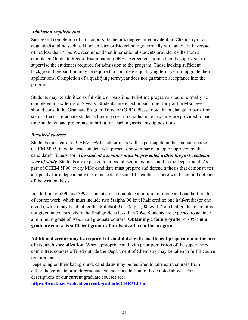#### Admission requirements

Successful completion of an Honours Bachelor's degree, or equivalent, in Chemistry or a cognate discipline such as Biochemistry or Biotechnology normally with an overall average of not less than 78%. We recommend that international students provide results from a completed Graduate Record Examination (GRE). Agreement from a faculty supervisor to supervise the student is required for admission to the program. Those lacking sufficient background preparation may be required to complete a qualifying term/year to upgrade their applications. Completion of a qualifying term/year does not guarantee acceptance into the program.

Students may be admitted as full-time or part-time. Full-time programs should normally be completed in six-terms or 2 years. Students interested in part-time study at the MSc level should consult the Graduate Program Director (GPD). Please note that a change to part-time status affects a graduate student's funding (i.e. no Graduate Fellowships are provided to parttime students) and preference in hiring for teaching assistantship positions.

#### Required courses

Students must enrol in CHEM 5F90 each term, as well as participate in the seminar course CHEM 5P95, in which each student will present one seminar on a topic approved by the candidate's Supervisor. The student's seminar must be presented within the first academic *year of study*. Students are expected to attend all seminars presented in the Department. As part of CHEM 5F90, every MSc candidate must prepare and defend a thesis that demonstrates a capacity for independent work of acceptable scientific caliber. There will be an oral defence of the written thesis.

In addition to 5F90 and 5P95, students must complete a minimum of one and one-half credits of course work, which must include two 5(alpha)00 level half credits; one half-credit (or one credit), which may be at either the 4(alpha)00 or 5(alpha)00 level. Note that graduate credit is not given in courses where the final grade is less than 70%. Students are expected to achieve a minimum grade of 70% in all graduate courses. **Obtaining a failing grade (< 70%) in a** graduate course is sufficient grounds for dismissal from the program.

Additional credits may be required of candidates with insufficient preparation in the area of research specialization. When appropriate and with prior permission of the supervisory committee, courses offered outside the Department of Chemistry may be taken to fulfill course requirements.

Depending on their background, candidates may be required to take extra courses from either the graduate or undergraduate calendar in addition to those noted above. For descriptions of our current graduate courses see:

https://brocku.ca/webcal/current/graduate/CHEM.html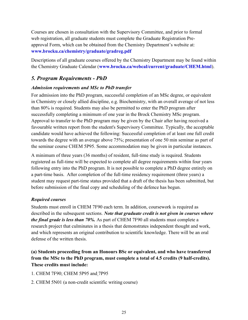Courses are chosen in consultation with the Supervisory Committee, and prior to formal web registration, all graduate students must complete the Graduate Registration Preapproval Form, which can be obtained from the Chemistry Department's website at: www.brocku.ca/chemistry/graduate/gradreg.pdf

Descriptions of all graduate courses offered by the Chemistry Department may be found within the Chemistry Graduate Calendar (www.brocku.ca/webcal/current/graduate/CHEM.html).

## 5. Program Requirements - PhD

#### Admission requirements and MSc to PhD transfer

For admission into the PhD program, successful completion of an MSc degree, or equivalent in Chemistry or closely allied discipline, e.g. Biochemistry, with an overall average of not less than 80% is required. Students may also be permitted to enter the PhD program after successfully completing a minimum of one year in the Brock Chemistry MSc program. Approval to transfer to the PhD program may be given by the Chair after having received a favourable written report from the student's Supervisory Committee. Typically, the acceptable candidate would have achieved the following: Successful completion of at least one full credit towards the degree with an average above 75%; presentation of one 50 min seminar as part of the seminar course CHEM 5P95. Some accommodation may be given in particular instances.

A minimum of three years (36 months) of resident, full-time study is required. Students registered as full-time will be expected to complete all degree requirements within four years following entry into the PhD program. It is not possible to complete a PhD degree entirely on a part-time basis. After completion of the full-time residency requirement (three years) a student may request part-time status provided that a draft of the thesis has been submitted, but before submission of the final copy and scheduling of the defence has begun.

#### Required courses

Students must enroll in CHEM 7F90 each term. In addition, coursework is required as described in the subsequent sections. Note that graduate credit is not given in courses where the final grade is less than 70%. As part of CHEM 7F90 all students must complete a research project that culminates in a thesis that demonstrates independent thought and work, and which represents an original contribution to scientific knowledge. There will be an oral defense of the written thesis.

## (a) Students proceeding from an Honours BSc or equivalent, and who have transferred from the MSc to the PhD program, must complete a total of 4.5 credits (9 half-credits). These credits must include:

- 1. CHEM 7F90; CHEM 5P95 and 7P95
- 2. CHEM 5N01 (a non-credit scientific writing course)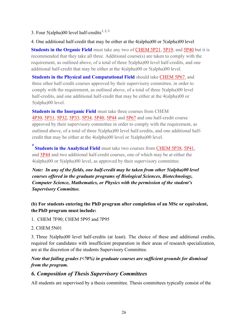- 3. Four  $5$ (alpha)00 level half-credits<sup>1, 2, 3</sup>
- 4. One additional half-credit that may be either at the 4(alpha)00 or 5(alpha)00 level

Students in the Organic Field must take any two of CHEM 5P21, 5P19, and 5P40 but it is recommended that they take all three. Additional course(s) are taken to comply with the requirement, as outlined above, of a total of three 5(alpha)00 level half-credits, and one additional half-credit that may be either at the 4(alpha)00 or 5(alpha)00 level.

Students in the Physical and Computational Field should take CHEM 5P67, and three other half-credit courses approved by their supervisory committee, in order to comply with the requirement, as outlined above, of a total of three 5(alpha)00 level half-credits, and one additional half-credit that may be either at the 4(alpha)00 or 5(alpha)00 level.

Students in the Inorganic Field must take three courses from CHEM 4P30, 5P31, 5P32, 5P33, 5P34, 5P40, 5P44 and 5P67 and one half-credit course approved by their supervisory committee in order to comply with the requirement, as outlined above, of a total of three 5(alpha)00 level half-credits, and one additional halfcredit that may be either at the 4(alpha)00 level or 5(alpha)00 level.

<sup>4</sup> **Students in the Analytical Field** must take two courses from **CHEM 5P38**, **5P41**, and 5P44 and two additional half-credit courses, one of which may be at either the 4(alpha)00 or 5(alpha)00 level, as approved by their supervisory committee.

Note: In any of the fields, one half-credit may be taken from other 5(alpha)00 level courses offered in the graduate programs of Biological Sciences, Biotechnology, Computer Science, Mathematics, or Physics with the permission of the student's Supervisory Committee.

#### (b) For students entering the PhD program after completion of an MSc or equivalent, the PhD program must include:

- 1. CHEM 7F90; CHEM 5P95 and 7P95
- 2. CHEM 5N01

3. Three 5(alpha)00 level half-credits (at least). The choice of these and additional credits, required for candidates with insufficient preparation in their areas of research specialization, are at the discretion of the students Supervisory Committee.

## Note that failing grades (<70%) in graduate courses are sufficient grounds for dismissal from the program.

#### 6. Composition of Thesis Supervisory Committees

All students are supervised by a thesis committee. Thesis committees typically consist of the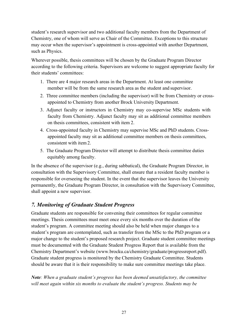student's research supervisor and two additional faculty members from the Department of Chemistry, one of whom will serve as Chair of the Committee. Exceptions to this structure may occur when the supervisor's appointment is cross-appointed with another Department, such as Physics.

Wherever possible, thesis committees will be chosen by the Graduate Program Director according to the following criteria. Supervisors are welcome to suggest appropriate faculty for their students' committees:

- 1. There are 4 major research areas in the Department. At least one committee member will be from the same research area as the student and supervisor.
- 2. Three committee members (including the supervisor) will be from Chemistry or crossappointed to Chemistry from another Brock University Department.
- 3. Adjunct faculty or instructors in Chemistry may co-supervise MSc students with faculty from Chemistry. Adjunct faculty may sit as additional committee members on thesis committees, consistent with item 2.
- 4. Cross-appointed faculty in Chemistry may supervise MSc and PhD students. Crossappointed faculty may sit as additional committee members on thesis committees, consistent with item 2.
- 5. The Graduate Program Director will attempt to distribute thesis committee duties equitably among faculty.

In the absence of the supervisor (e.g., during sabbatical), the Graduate Program Director, in consultation with the Supervisory Committee, shall ensure that a resident faculty member is responsible for overseeing the student. In the event that the supervisor leaves the University permanently, the Graduate Program Director, in consultation with the Supervisory Committee, shall appoint a new supervisor.

## 7. Monitoring of Graduate Student Progress

Graduate students are responsible for convening their committees for regular committee meetings. Thesis committees must meet once every six months over the duration of the student's program. A committee meeting should also be held when major changes to a student's program are contemplated, such as transfer from the MSc to the PhD program or a major change to the student's proposed research project. Graduate student committee meetings must be documented with the Graduate Student Progress Report that is available from the Chemistry Department's website (www.brocku.ca/chemistry/graduate/progressreport.pdf). Graduate student progress is monitored by the Chemistry Graduate Committee. Students should be aware that it is their responsibility to make sure committee meetings take place.

Note: When a graduate student's progress has been deemed unsatisfactory, the committee will meet again within six months to evaluate the student's progress. Students may be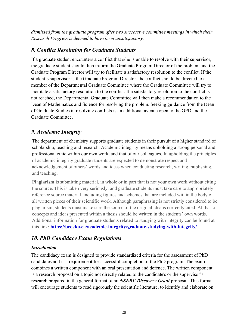dismissed from the graduate program after two successive committee meetings in which their Research Progress is deemed to have been unsatisfactory.

## 8. Conflict Resolution for Graduate Students

If a graduate student encounters a conflict that s/he is unable to resolve with their supervisor, the graduate student should then inform the Graduate Program Director of the problem and the Graduate Program Director will try to facilitate a satisfactory resolution to the conflict. If the student's supervisor is the Graduate Program Director, the conflict should be directed to a member of the Departmental Graduate Committee where the Graduate Committee will try to facilitate a satisfactory resolution to the conflict. If a satisfactory resolution to the conflict is not reached, the Departmental Graduate Committee will then make a recommendation to the Dean of Mathematics and Science for resolving the problem. Seeking guidance from the Dean of Graduate Studies in resolving conflicts is an additional avenue open to the GPD and the Graduate Committee.

## 9. Academic Integrity

The department of chemistry supports graduate students in their pursuit of a higher standard of scholarship, teaching and research. Academic integrity means upholding a strong personal and professional ethic within our own work, and that of our colleagues. In upholding the principles of academic integrity graduate students are expected to demonstrate respect and acknowledgement of others' words and ideas when conducting research, writing, publishing, and teaching.

Plagiarism is submitting material, in whole or in part that is not your own work without citing the source. This is taken very seriously, and graduate students must take care to appropriately reference source material, including figures and schemes that are included within the body of all written pieces of their scientific work. Although paraphrasing is not strictly considered to be plagiarism, students must make sure the source of the original idea is correctly cited. All basic concepts and ideas presented within a thesis should be written in the students' own words. Additional information for graduate students related to studying with integrity can be found at this link: https://brocku.ca/academic-integrity/graduate-studying-with-integrity/

## 10. PhD Candidacy Exam Regulations

#### Introduction

The candidacy exam is designed to provide standardized criteria for the assessment of PhD candidates and is a requirement for successful completion of the PhD program. The exam combines a written component with an oral presentation and defence. The written component is a research proposal on a topic not directly related to the candidate's or the supervisor's research prepared in the general format of an NSERC Discovery Grant proposal. This format will encourage students to read rigorously the scientific literature, to identify and elaborate on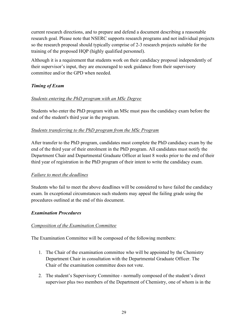current research directions, and to prepare and defend a document describing a reasonable research goal. Please note that NSERC supports research programs and not individual projects so the research proposal should typically comprise of 2-3 research projects suitable for the training of the proposed HQP (highly qualified personnel).

Although it is a requirement that students work on their candidacy proposal independently of their supervisor's input, they are encouraged to seek guidance from their supervisory committee and/or the GPD when needed.

#### Timing of Exam

#### Students entering the PhD program with an MSc Degree

Students who enter the PhD program with an MSc must pass the candidacy exam before the end of the student's third year in the program.

#### Students transferring to the PhD program from the MSc Program

After transfer to the PhD program, candidates must complete the PhD candidacy exam by the end of the third year of their enrolment in the PhD program. All candidates must notify the Department Chair and Departmental Graduate Officer at least 8 weeks prior to the end of their third year of registration in the PhD program of their intent to write the candidacy exam.

#### Failure to meet the deadlines

Students who fail to meet the above deadlines will be considered to have failed the candidacy exam. In exceptional circumstances such students may appeal the failing grade using the procedures outlined at the end of this document.

#### Examination Procedures

#### Composition of the Examination Committee

The Examination Committee will be composed of the following members:

- 1. The Chair of the examination committee who will be appointed by the Chemistry Department Chair in consultation with the Departmental Graduate Officer. The Chair of the examination committee does not vote.
- 2. The student's Supervisory Committee normally composed of the student's direct supervisor plus two members of the Department of Chemistry, one of whom is in the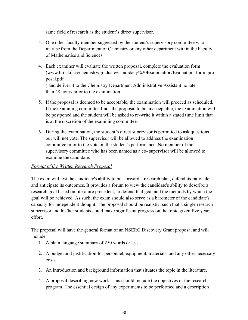same field of research as the student's direct supervisor.

- 3. One other faculty member suggested by the student's supervisory committee who may be from the Department of Chemistry or any other department within the Faculty of Mathematics and Sciences.
- 4. Each examiner will evaluate the written proposal, complete the evaluation form (www.brocku.ca/chemistry/graduate/Candidacy%20Examination/Evaluation\_form\_pro posal.pdf ) and deliver it to the Chemistry Department Administrative Assistant no later than 48 hours prior to the examination.
- 5. If the proposal is deemed to be acceptable, the examination will proceed as scheduled. If the examining committee finds the proposal to be unacceptable, the examination will be postponed and the student will be asked to re-write it within a stated time limit that is at the discretion of the examining committee.
- 6. During the examination, the student's direct supervisor is permitted to ask questions but will not vote. The supervisor will be allowed to address the examination committee prior to the vote on the student's performance. No member of the supervisory committee who has been named as a co- supervisor will be allowed to examine the candidate.

#### Format of the Written Research Proposal

The exam will test the candidate's ability to put forward a research plan, defend its rationale and anticipate its outcomes. It provides a forum to view the candidate's ability to describe a research goal based on literature precedent, to defend that goal and the methods by which the goal will be achieved. As such, the exam should also serve as a barometer of the candidate's capacity for independent thought. The proposal should be realistic, such that a single research supervisor and his/her students could make significant progress on the topic given five years effort.

The proposal will have the general format of an NSERC Discovery Grant proposal and will include:

- 1. A plain language summary of 250 words or less.
- 2. A budget and justification for personnel, equipment, materials, and any other necessary costs.
- 3. An introduction and background information that situates the topic in the literature.
- 4. A proposal describing new work. This should include the objectives of the research program. The essential design of any experiments to be performed and a description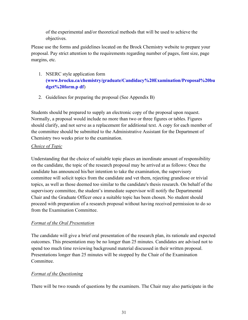of the experimental and/or theoretical methods that will be used to achieve the objectives.

Please use the forms and guidelines located on the Brock Chemistry website to prepare your proposal. Pay strict attention to the requirements regarding number of pages, font size, page margins, etc.

- 1. NSERC style application form (www.brocku.ca/chemistry/graduate/Candidacy%20Examination/Proposal%20bu dget%20form.p df)
- 2. Guidelines for preparing the proposal (See Appendix B)

Students should be prepared to supply an electronic copy of the proposal upon request. Normally, a proposal would include no more than two or three figures or tables. Figures should clarify, and not serve as a replacement for additional text. A copy for each member of the committee should be submitted to the Administrative Assistant for the Department of Chemistry two weeks prior to the examination.

#### Choice of Topic

Understanding that the choice of suitable topic places an inordinate amount of responsibility on the candidate, the topic of the research proposal may be arrived at as follows: Once the candidate has announced his/her intention to take the examination, the supervisory committee will solicit topics from the candidate and vet them, rejecting grandiose or trivial topics, as well as those deemed too similar to the candidate's thesis research. On behalf of the supervisory committee, the student's immediate supervisor will notify the Departmental Chair and the Graduate Officer once a suitable topic has been chosen. No student should proceed with preparation of a research proposal without having received permission to do so from the Examination Committee.

#### Format of the Oral Presentation

The candidate will give a brief oral presentation of the research plan, its rationale and expected outcomes. This presentation may be no longer than 25 minutes. Candidates are advised not to spend too much time reviewing background material discussed in their written proposal. Presentations longer than 25 minutes will be stopped by the Chair of the Examination Committee.

#### Format of the Questioning

There will be two rounds of questions by the examiners. The Chair may also participate in the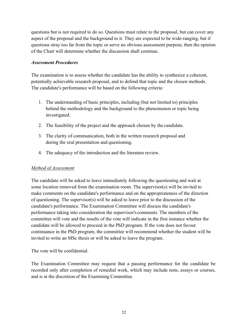questions but is not required to do so. Questions must relate to the proposal, but can cover any aspect of the proposal and the background to it. They are expected to be wide-ranging, but if questions stray too far from the topic or serve no obvious assessment purpose, then the opinion of the Chair will determine whether the discussion shall continue.

#### Assessment Procedures

The examination is to assess whether the candidate has the ability to synthesize a coherent, potentially achievable research proposal, and to defend that topic and the chosen methods. The candidate's performance will be based on the following criteria:

- 1. The understanding of basic principles, including (but not limited to) principles behind the methodology and the background to the phenomenon or topic being investigated.
- 2. The feasibility of the project and the approach chosen by the candidate.
- 3. The clarity of communication, both in the written research proposal and during the oral presentation and questioning.
- 4. The adequacy of the introduction and the literature review.

#### Method of Assessment

The candidate will be asked to leave immediately following the questioning and wait at some location removed from the examination room. The supervisor(s) will be invited to make comments on the candidate's performance and on the appropriateness of the direction of questioning. The supervisor(s) will be asked to leave prior to the discussion of the candidate's performance. The Examination Committee will discuss the candidate's performance taking into consideration the supervisor's comments. The members of the committee will vote and the results of the vote will indicate in the first instance whether the candidate will be allowed to proceed in the PhD program. If the vote does not favour continuance in the PhD program, the committee will recommend whether the student will be invited to write an MSc thesis or will be asked to leave the program.

The vote will be confidential.

The Examination Committee may request that a passing performance for the candidate be recorded only after completion of remedial work, which may include tests, essays or courses, and is at the discretion of the Examining Committee.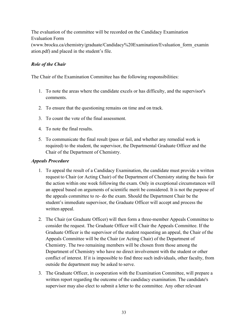The evaluation of the committee will be recorded on the Candidacy Examination Evaluation Form (www.brocku.ca/chemistry/graduate/Candidacy%20Examination/Evaluation\_form\_examin ation.pdf) and placed in the student's file.

#### Role of the Chair

The Chair of the Examination Committee has the following responsibilities:

- 1. To note the areas where the candidate excels or has difficulty, and the supervisor's comments.
- 2. To ensure that the questioning remains on time and on track.
- 3. To count the vote of the final assessment.
- 4. To note the final results.
- 5. To communicate the final result (pass or fail, and whether any remedial work is required) to the student, the supervisor, the Departmental Graduate Officer and the Chair of the Department of Chemistry.

#### Appeals Procedure

- 1. To appeal the result of a Candidacy Examination, the candidate must provide a written request to Chair (or Acting Chair) of the Department of Chemistry stating the basis for the action within one week following the exam. Only in exceptional circumstances will an appeal based on arguments of scientific merit be considered. It is not the purpose of the appeals committee to re- do the exam. Should the Department Chair be the student's immediate supervisor, the Graduate Officer will accept and process the written appeal.
- 2. The Chair (or Graduate Officer) will then form a three-member Appeals Committee to consider the request. The Graduate Officer will Chair the Appeals Committee. If the Graduate Officer is the supervisor of the student requesting an appeal, the Chair of the Appeals Committee will be the Chair (or Acting Chair) of the Department of Chemistry. The two remaining members will be chosen from those among the Department of Chemistry who have no direct involvement with the student or other conflict of interest. If it is impossible to find three such individuals, other faculty, from outside the department may be asked to serve.
- 3. The Graduate Officer, in cooperation with the Examination Committee, will prepare a written report regarding the outcome of the candidacy examination. The candidate's supervisor may also elect to submit a letter to the committee. Any other relevant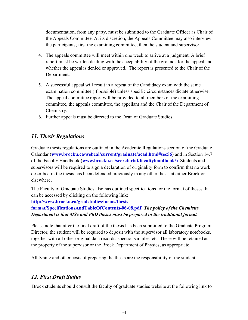documentation, from any party, must be submitted to the Graduate Officer as Chair of the Appeals Committee. At its discretion, the Appeals Committee may also interview the participants; first the examining committee, then the student and supervisor.

- 4. The appeals committee will meet within one week to arrive at a judgment. A brief report must be written dealing with the acceptability of the grounds for the appeal and whether the appeal is denied or approved. The report is presented to the Chair of the Department.
- 5. A successful appeal will result in a repeat of the Candidacy exam with the same examination committee (if possible) unless specific circumstances dictate otherwise. The appeal committee report will be provided to all members of the examining committee, the appeals committee, the appellant and the Chair of the Department of Chemistry.
- 6. Further appeals must be directed to the Dean of Graduate Studies.

## 11. Thesis Regulations

Graduate thesis regulations are outlined in the Academic Regulations section of the Graduate Calendar (www.brocku.ca/webcal/current/graduate/acad.html#sec56) and in Section 14.7 of the Faculty Handbook (www.brocku.ca/secretariat/facultyhandbook/). Students and supervisors will be required to sign a declaration of originality form to confirm that no work described in the thesis has been defended previously in any other thesis at either Brock or elsewhere,

The Faculty of Graduate Studies also has outlined specifications for the format of theses that can be accessed by clicking on the following link:

#### http://www.brocku.ca/gradstudies/forms/thesis-

format/SpecificationsAndTableOfContents-06-08.pdf. The policy of the Chemistry Department is that MSc and PhD theses must be prepared in the traditional format.

Please note that after the final draft of the thesis has been submitted to the Graduate Program Director, the student will be required to deposit with the supervisor all laboratory notebooks, together with all other original data records, spectra, samples, etc. These will be retained as the property of the supervisor or the Brock Department of Physics, as appropriate.

All typing and other costs of preparing the thesis are the responsibility of the student.

## 12. First Draft Status

Brock students should consult the faculty of graduate studies website at the following link to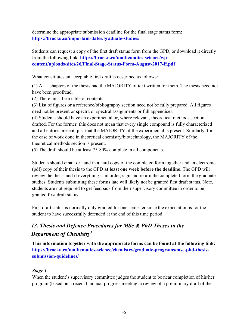determine the appropriate submission deadline for the final stage status form: https://brocku.ca/important-dates/graduate-studies/

Students can request a copy of the first draft status form from the GPD, or download it directly from the following link: https://brocku.ca/mathematics-science/wpcontent/uploads/sites/26/Final-Stage-Status-Form-August-2017-ff.pdf

What constitutes an acceptable first draft is described as follows:

(1) ALL chapters of the thesis had the MAJORITY of text written for them. The thesis need not have been proofread.

(2) There must be a table of contents

(3) List of figures or a reference/bibliography section need not be fully prepared. All figures need not be present or spectra or spectral assignments or full appendices.

(4) Students should have an experimental or, where relevant, theoretical methods section drafted. For the former, this does not mean that every single compound is fully characterized and all entries present, just that the MAJORITY of the experimental is present. Similarly, for the case of work done in theoretical chemistry/biotechnology, the MAJORITY of the theoretical methods section is present.

(5) The draft should be at least 75-80% complete in all components.

Students should email or hand in a hard copy of the completed form together and an electronic (pdf) copy of their thesis to the GPD at least one week before the deadline. The GPD will review the thesis and if everything is in order, sign and return the completed form the graduate studies. Students submitting these forms late will likely not be granted first draft status. Note, students are not required to get feedback from their supervisory committee in order to be granted first draft status.

First draft status is normally only granted for one semester since the expectation is for the student to have successfully defended at the end of this time period.

## 13. Thesis and Defence Procedures for MSc & PhD Theses in the Department of Chemistry<sup>1</sup>

This information together with the appropriate forms can be found at the following link: https://brocku.ca/mathematics-science/chemistry/graduate-programs/msc-phd-thesissubmission-guidelines/

#### Stage 1.

When the student's supervisory committee judges the student to be near completion of his/her program (based on a recent biannual progress meeting, a review of a preliminary draft of the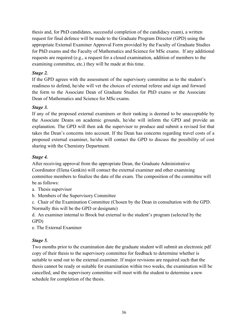thesis and, for PhD candidates, successful completion of the candidacy exam), a written request for final defence will be made to the Graduate Program Director (GPD) using the appropriate External Examiner Approval Form provided by the Faculty of Graduate Studies for PhD exams and the Faculty of Mathematics and Science for MSc exams. If any additional requests are required (e.g., a request for a closed examination, addition of members to the examining committee, etc.) they will be made at this time.

#### Stage 2.

If the GPD agrees with the assessment of the supervisory committee as to the student's readiness to defend, he/she will vet the choices of external referee and sign and forward the form to the Associate Dean of Graduate Studies for PhD exams or the Associate Dean of Mathematics and Science for MSc exams.

#### Stage 3.

If any of the proposed external examiners or their ranking is deemed to be unacceptable by the Associate Deans on academic grounds, he/she will inform the GPD and provide an explanation. The GPD will then ask the supervisor to produce and submit a revised list that takes the Dean's concerns into account. If the Dean has concerns regarding travel costs of a proposed external examiner, he/she will contact the GPD to discuss the possibility of cost sharing with the Chemistry Department.

#### Stage 4.

After receiving approval from the appropriate Dean, the Graduate Administrative Coordinator (Elena Genkin) will contact the external examiner and other examining committee members to finalize the date of the exam. The composition of the committee will be as follows:

- a. Thesis supervisor
- b. Members of the Supervisory Committee

c. Chair of the Examination Committee (Chosen by the Dean in consultation with the GPD. Normally this will be the GPD or designate)

d. An examiner internal to Brock but external to the student's program (selected by the GPD)

e. The External Examiner

#### Stage 5.

Two months prior to the examination date the graduate student will submit an electronic pdf copy of their thesis to the supervisory committee for feedback to determine whether is suitable to send out to the external examiner. If major revisions are required such that the thesis cannot be ready or suitable for examination within two weeks, the examination will be cancelled, and the supervisory committee will meet with the student to determine a new schedule for completion of the thesis.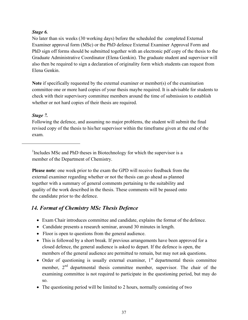#### Stage 6.

No later than six weeks (30 working days) before the scheduled the completed External Examiner approval form (MSc) or the PhD defence External Examiner Approval Form and PhD sign off forms should be submitted together with an electronic pdf copy of the thesis to the Graduate Administrative Coordinator (Elena Genkin). The graduate student and supervisor will also then be required to sign a declaration of originality form which students can request from Elena Genkin.

Note if specifically requested by the external examiner or member(s) of the examination committee one or more hard copies of your thesis maybe required. It is advisable for students to check with their supervisory committee members around the time of submission to establish whether or not hard copies of their thesis are required.

#### Stage 7.

Following the defence, and assuming no major problems, the student will submit the final revised copy of the thesis to his/her supervisor within the timeframe given at the end of the exam.

<sup>1</sup>Includes MSc and PhD theses in Biotechnology for which the supervisor is a member of the Department of Chemistry.

Please note: one week prior to the exam the GPD will receive feedback from the external examiner regarding whether or not the thesis can go ahead as planned together with a summary of general comments pertaining to the suitability and quality of the work described in the thesis. These comments will be passed onto the candidate prior to the defence.

## 14. Format of Chemistry MSc Thesis Defence

- Exam Chair introduces committee and candidate, explains the format of the defence.
- Candidate presents a research seminar, around 30 minutes in length.
- Floor is open to questions from the general audience.
- This is followed by a short break. If previous arrangements have been approved for a closed defence, the general audience is asked to depart. If the defence is open, the members of the general audience are permitted to remain, but may not ask questions.
- Order of questioning is usually external examiner,  $1<sup>st</sup>$  departmental thesis committee member,  $2<sup>nd</sup>$  departmental thesis committee member, supervisor. The chair of the examining committee is not required to participate in the questioning period, but may do so.
- The questioning period will be limited to 2 hours, normally consisting of two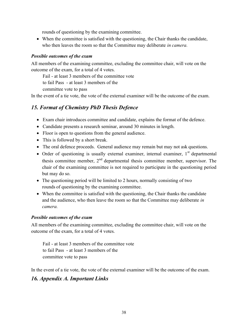rounds of questioning by the examining committee.

 When the committee is satisfied with the questioning, the Chair thanks the candidate, who then leaves the room so that the Committee may deliberate *in camera*.

#### Possible outcomes of the exam

All members of the examining committee, excluding the committee chair, will vote on the outcome of the exam, for a total of 4 votes.

Fail - at least 3 members of the committee vote

to fail Pass - at least 3 members of the

committee vote to pass

In the event of a tie vote, the vote of the external examiner will be the outcome of the exam.

## 15. Format of Chemistry PhD Thesis Defence

- Exam chair introduces committee and candidate, explains the format of the defence.
- Candidate presents a research seminar, around 30 minutes in length.
- Floor is open to questions from the general audience.
- This is followed by a short break.
- The oral defence proceeds. General audience may remain but may not ask questions.
- $\bullet$  Order of questioning is usually external examiner, internal examiner,  $1<sup>st</sup>$  departmental thesis committee member,  $2<sup>nd</sup>$  departmental thesis committee member, supervisor. The chair of the examining committee is not required to participate in the questioning period but may do so.
- The questioning period will be limited to 2 hours, normally consisting of two rounds of questioning by the examining committee.
- When the committee is satisfied with the questioning, the Chair thanks the candidate and the audience, who then leave the room so that the Committee may deliberate in camera.

#### Possible outcomes of the exam

All members of the examining committee, excluding the committee chair, will vote on the outcome of the exam, for a total of 4 votes.

Fail - at least 3 members of the committee vote to fail Pass - at least 3 members of the committee vote to pass

In the event of a tie vote, the vote of the external examiner will be the outcome of the exam.

## 16. Appendix A. Important Links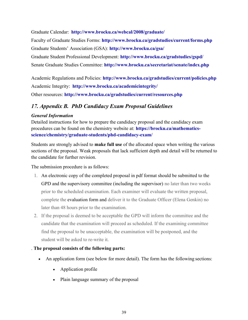Graduate Calendar: http://www.brocku.ca/webcal/2008/graduate/

Faculty of Graduate Studies Forms: http://www.brocku.ca/gradstudies/current/forms.php Graduate Students' Association (GSA): http://www.brocku.ca/gsa/ Graduate Student Professional Development: http://www.brocku.ca/gradstudies/gspd/ Senate Graduate Studies Committee: http://www.brocku.ca/secretariat/senate/index.php

Academic Regulations and Policies: http://www.brocku.ca/gradstudies/current/policies.php Academic Integrity: http://www.brocku.ca/academicintegrity/ Other resources: http://www.brocku.ca/gradstudies/current/resources.php

## 17. Appendix B. PhD Candidacy Exam Proposal Guidelines

#### General Information

Detailed instructions for how to prepare the candidacy proposal and the candidacy exam procedures can be found on the chemistry website at: https://brocku.ca/mathematicsscience/chemistry/graduate-students/phd-candidacy-exam/

Students are strongly advised to make full use of the allocated space when writing the various sections of the proposal. Weak proposals that lack sufficient depth and detail will be returned to the candidate for further revision.

The submission procedure is as follows:

- 1. An electronic copy of the completed proposal in pdf format should be submitted to the GPD and the supervisory committee (including the supervisor) no later than two weeks prior to the scheduled examination. Each examiner will evaluate the written proposal, complete the evaluation form and deliver it to the Graduate Officer (Elena Genkin) no later than 48 hours prior to the examination.
- 2. If the proposal is deemed to be acceptable the GPD will inform the committee and the candidate that the examination will proceed as scheduled. If the examining committee find the proposal to be unacceptable, the examination will be postponed, and the student will be asked to re-write it.

#### . The proposal consists of the following parts:

- An application form (see below for more detail). The form has the following sections:
	- Application profile
	- Plain language summary of the proposal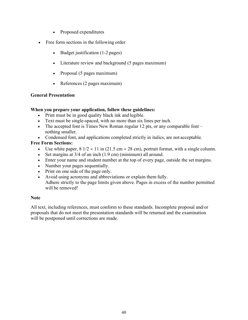- Proposed expenditures
- Free form sections in the following order
	- Budget justification (1-2 pages)
	- Literature review and background (5 pages maximum)
	- Proposal (5 pages maximum)
	- References (2 pages maximum)

#### General Presentation

#### When you prepare your application, follow these guidelines:

- Print must be in good quality black ink and legible.
- Text must be single-spaced, with no more than six lines per inch.
- The accepted font is Times New Roman regular 12 pts, or any comparable font  $$ nothing smaller.
- Condensed font, and applications completed strictly in italics, are not acceptable.

#### Free Form Sections:

- Use white paper,  $8 \frac{1}{2} \times 11$  in (21.5 cm  $\times$  28 cm), portrait format, with a single column.
- Set margins at  $3/4$  of an inch  $(1.9 \text{ cm})$  (minimum) all around.
- Enter your name and student number at the top of every page, outside the set margins.
- Number your pages sequentially.
- Print on one side of the page only.
- Avoid using acronyms and abbreviations or explain them fully. Adhere strictly to the page limits given above. Pages in excess of the number permitted will be removed!

#### **Note**

All text, including references, must conform to these standards. Incomplete proposal and/or proposals that do not meet the presentation standards will be returned and the examination will be postponed until corrections are made.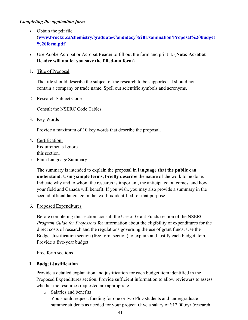#### Completing the application form

- Obtain the pdf file (www.brocku.ca/chemistry/graduate/Candidacy%20Examination/Proposal%20budget %20form.pdf)
- Use Adobe Acrobat or Acrobat Reader to fill out the form and print it. (Note: Acrobat Reader will not let you save the filled-out form)
- 1. Title of Proposal

The title should describe the subject of the research to be supported. It should not contain a company or trade name. Spell out scientific symbols and acronyms.

2. Research Subject Code

Consult the NSERC Code Tables.

3. Key Words

Provide a maximum of 10 key words that describe the proposal.

- 4. Certification Requirements Ignore this section.
- 5. Plain Language Summary

The summary is intended to explain the proposal in language that the public can understand. Using simple terms, briefly describe the nature of the work to be done. Indicate why and to whom the research is important, the anticipated outcomes, and how your field and Canada will benefit. If you wish, you may also provide a summary in the second official language in the text box identified for that purpose.

#### 6. Proposed Expenditures

Before completing this section, consult the Use of Grant Funds section of the NSERC Program Guide for Professors for information about the eligibility of expenditures for the direct costs of research and the regulations governing the use of grant funds. Use the Budget Justification section (free form section) to explain and justify each budget item. Provide a five-year budget

Free form sections

#### 1. Budget Justification

Provide a detailed explanation and justification for each budget item identified in the Proposed Expenditures section. Provide sufficient information to allow reviewers to assess whether the resources requested are appropriate.

o Salaries and benefits You should request funding for one or two PhD students and undergraduate summer students as needed for your project. Give a salary of \$12,000/yr (research